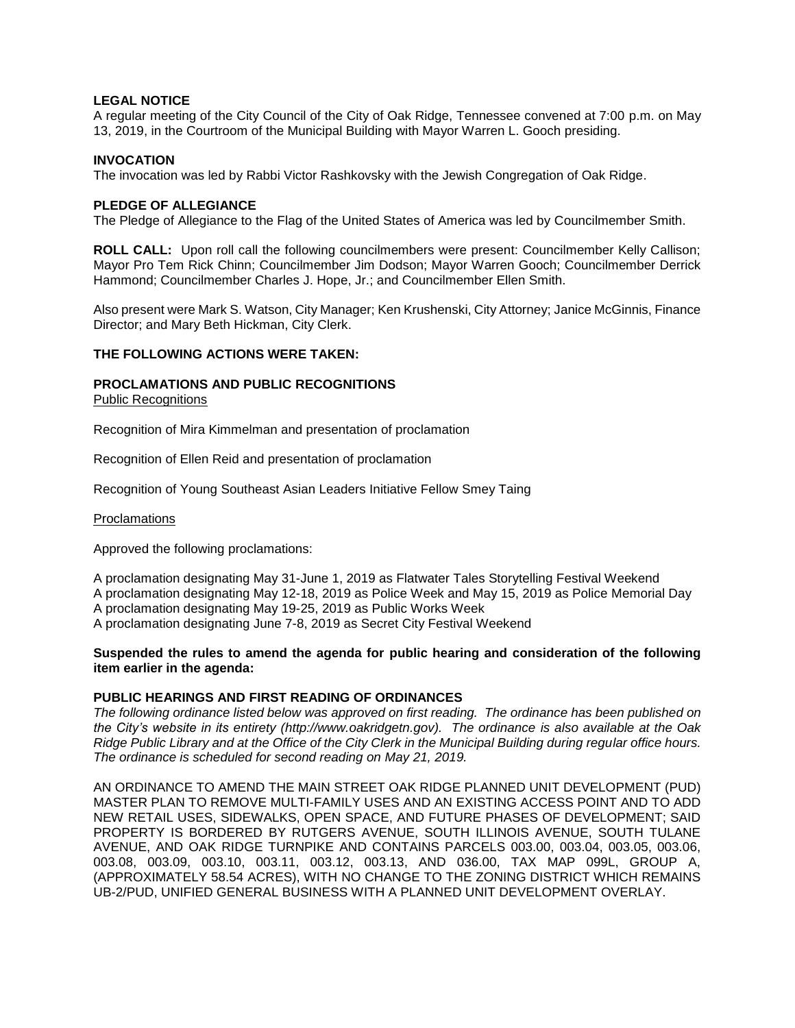# **LEGAL NOTICE**

A regular meeting of the City Council of the City of Oak Ridge, Tennessee convened at 7:00 p.m. on May 13, 2019, in the Courtroom of the Municipal Building with Mayor Warren L. Gooch presiding.

# **INVOCATION**

The invocation was led by Rabbi Victor Rashkovsky with the Jewish Congregation of Oak Ridge.

# **PLEDGE OF ALLEGIANCE**

The Pledge of Allegiance to the Flag of the United States of America was led by Councilmember Smith.

**ROLL CALL:** Upon roll call the following councilmembers were present: Councilmember Kelly Callison; Mayor Pro Tem Rick Chinn; Councilmember Jim Dodson; Mayor Warren Gooch; Councilmember Derrick Hammond; Councilmember Charles J. Hope, Jr.; and Councilmember Ellen Smith.

Also present were Mark S. Watson, City Manager; Ken Krushenski, City Attorney; Janice McGinnis, Finance Director; and Mary Beth Hickman, City Clerk.

## **THE FOLLOWING ACTIONS WERE TAKEN:**

# **PROCLAMATIONS AND PUBLIC RECOGNITIONS**

Public Recognitions

Recognition of Mira Kimmelman and presentation of proclamation

Recognition of Ellen Reid and presentation of proclamation

Recognition of Young Southeast Asian Leaders Initiative Fellow Smey Taing

#### Proclamations

Approved the following proclamations:

A proclamation designating May 31-June 1, 2019 as Flatwater Tales Storytelling Festival Weekend A proclamation designating May 12-18, 2019 as Police Week and May 15, 2019 as Police Memorial Day

A proclamation designating May 19-25, 2019 as Public Works Week

A proclamation designating June 7-8, 2019 as Secret City Festival Weekend

## **Suspended the rules to amend the agenda for public hearing and consideration of the following item earlier in the agenda:**

# **PUBLIC HEARINGS AND FIRST READING OF ORDINANCES**

*The following ordinance listed below was approved on first reading. The ordinance has been published on the City's website in its entirety (http://www.oakridgetn.gov). The ordinance is also available at the Oak Ridge Public Library and at the Office of the City Clerk in the Municipal Building during regular office hours. The ordinance is scheduled for second reading on May 21, 2019.* 

AN ORDINANCE TO AMEND THE MAIN STREET OAK RIDGE PLANNED UNIT DEVELOPMENT (PUD) MASTER PLAN TO REMOVE MULTI-FAMILY USES AND AN EXISTING ACCESS POINT AND TO ADD NEW RETAIL USES, SIDEWALKS, OPEN SPACE, AND FUTURE PHASES OF DEVELOPMENT; SAID PROPERTY IS BORDERED BY RUTGERS AVENUE, SOUTH ILLINOIS AVENUE, SOUTH TULANE AVENUE, AND OAK RIDGE TURNPIKE AND CONTAINS PARCELS 003.00, 003.04, 003.05, 003.06, 003.08, 003.09, 003.10, 003.11, 003.12, 003.13, AND 036.00, TAX MAP 099L, GROUP A, (APPROXIMATELY 58.54 ACRES), WITH NO CHANGE TO THE ZONING DISTRICT WHICH REMAINS UB-2/PUD, UNIFIED GENERAL BUSINESS WITH A PLANNED UNIT DEVELOPMENT OVERLAY.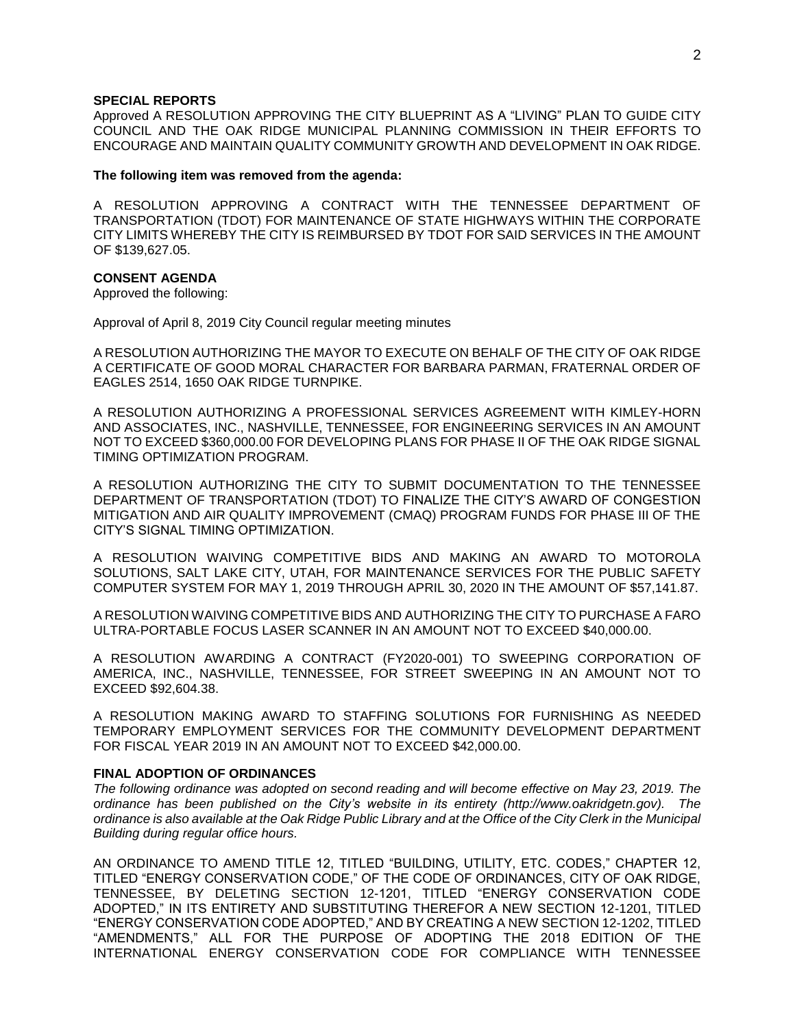#### **SPECIAL REPORTS**

Approved A RESOLUTION APPROVING THE CITY BLUEPRINT AS A "LIVING" PLAN TO GUIDE CITY COUNCIL AND THE OAK RIDGE MUNICIPAL PLANNING COMMISSION IN THEIR EFFORTS TO ENCOURAGE AND MAINTAIN QUALITY COMMUNITY GROWTH AND DEVELOPMENT IN OAK RIDGE.

#### **The following item was removed from the agenda:**

A RESOLUTION APPROVING A CONTRACT WITH THE TENNESSEE DEPARTMENT OF TRANSPORTATION (TDOT) FOR MAINTENANCE OF STATE HIGHWAYS WITHIN THE CORPORATE CITY LIMITS WHEREBY THE CITY IS REIMBURSED BY TDOT FOR SAID SERVICES IN THE AMOUNT OF \$139,627.05.

### **CONSENT AGENDA**

Approved the following:

Approval of April 8, 2019 City Council regular meeting minutes

A RESOLUTION AUTHORIZING THE MAYOR TO EXECUTE ON BEHALF OF THE CITY OF OAK RIDGE A CERTIFICATE OF GOOD MORAL CHARACTER FOR BARBARA PARMAN, FRATERNAL ORDER OF EAGLES 2514, 1650 OAK RIDGE TURNPIKE.

A RESOLUTION AUTHORIZING A PROFESSIONAL SERVICES AGREEMENT WITH KIMLEY-HORN AND ASSOCIATES, INC., NASHVILLE, TENNESSEE, FOR ENGINEERING SERVICES IN AN AMOUNT NOT TO EXCEED \$360,000.00 FOR DEVELOPING PLANS FOR PHASE II OF THE OAK RIDGE SIGNAL TIMING OPTIMIZATION PROGRAM.

A RESOLUTION AUTHORIZING THE CITY TO SUBMIT DOCUMENTATION TO THE TENNESSEE DEPARTMENT OF TRANSPORTATION (TDOT) TO FINALIZE THE CITY'S AWARD OF CONGESTION MITIGATION AND AIR QUALITY IMPROVEMENT (CMAQ) PROGRAM FUNDS FOR PHASE III OF THE CITY'S SIGNAL TIMING OPTIMIZATION.

A RESOLUTION WAIVING COMPETITIVE BIDS AND MAKING AN AWARD TO MOTOROLA SOLUTIONS, SALT LAKE CITY, UTAH, FOR MAINTENANCE SERVICES FOR THE PUBLIC SAFETY COMPUTER SYSTEM FOR MAY 1, 2019 THROUGH APRIL 30, 2020 IN THE AMOUNT OF \$57,141.87.

A RESOLUTION WAIVING COMPETITIVE BIDS AND AUTHORIZING THE CITY TO PURCHASE A FARO ULTRA-PORTABLE FOCUS LASER SCANNER IN AN AMOUNT NOT TO EXCEED \$40,000.00.

A RESOLUTION AWARDING A CONTRACT (FY2020-001) TO SWEEPING CORPORATION OF AMERICA, INC., NASHVILLE, TENNESSEE, FOR STREET SWEEPING IN AN AMOUNT NOT TO EXCEED \$92,604.38.

A RESOLUTION MAKING AWARD TO STAFFING SOLUTIONS FOR FURNISHING AS NEEDED TEMPORARY EMPLOYMENT SERVICES FOR THE COMMUNITY DEVELOPMENT DEPARTMENT FOR FISCAL YEAR 2019 IN AN AMOUNT NOT TO EXCEED \$42,000.00.

#### **FINAL ADOPTION OF ORDINANCES**

*The following ordinance was adopted on second reading and will become effective on May 23, 2019. The ordinance has been published on the City's website in its entirety (http://www.oakridgetn.gov). The ordinance is also available at the Oak Ridge Public Library and at the Office of the City Clerk in the Municipal Building during regular office hours.*

AN ORDINANCE TO AMEND TITLE 12, TITLED "BUILDING, UTILITY, ETC. CODES," CHAPTER 12, TITLED "ENERGY CONSERVATION CODE," OF THE CODE OF ORDINANCES, CITY OF OAK RIDGE, TENNESSEE, BY DELETING SECTION 12-1201, TITLED "ENERGY CONSERVATION CODE ADOPTED," IN ITS ENTIRETY AND SUBSTITUTING THEREFOR A NEW SECTION 12-1201, TITLED "ENERGY CONSERVATION CODE ADOPTED," AND BY CREATING A NEW SECTION 12-1202, TITLED "AMENDMENTS," ALL FOR THE PURPOSE OF ADOPTING THE 2018 EDITION OF THE INTERNATIONAL ENERGY CONSERVATION CODE FOR COMPLIANCE WITH TENNESSEE